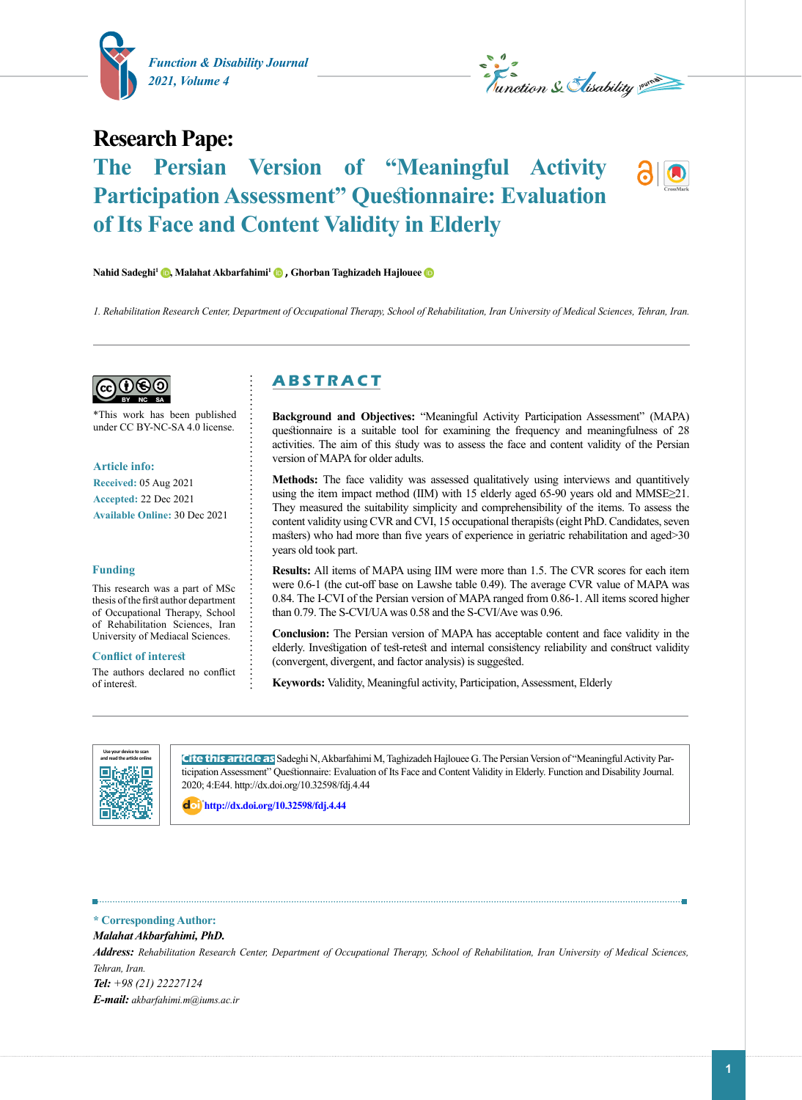



## **Research Pape:**

# **The Persian Version of "Meaningful Activity Participation Assessment" Questionnaire: Evaluation of Its Face and Content Validity in Elderly**

**Nahid Sadeghi1 [,](https://orcid.org/0000-0001-5068-682X) Malahat Akbarfahimi[1](https://orcid.org/0000-0001-9966-3143) , Ghorban Taghizadeh Hajloue[e](https://orcid.org/0000-0002-0145-9599)** 

*1. Rehabilitation Research Center, Department of Occupational Therapy, School of Rehabilitation, Iran University of Medical Sciences, Tehran, Iran.*



\*This work has been published under CC BY-NC-SA 4.0 license.

**Article info: Received:** 05 Aug 2021 **Accepted:** 22 Dec 2021 **Available Online:** 30 Dec 2021

#### **Funding**

This research was a part of MSc thesis of the first author department of Occupational Therapy, School of Rehabilitation Sciences, Iran University of Mediacal Sciences.

#### **Conflict of interest**

The authors declared no conflict of interest.

## **A B S T R A C T**

**Background and Objectives:** "Meaningful Activity Participation Assessment" (MAPA) questionnaire is a suitable tool for examining the frequency and meaningfulness of 28 activities. The aim of this study was to assess the face and content validity of the Persian version of MAPA for older adults.

**Methods:** The face validity was assessed qualitatively using interviews and quantitively using the item impact method (IIM) with 15 elderly aged 65-90 years old and MMSE≥21. They measured the suitability simplicity and comprehensibility of the items. To assess the content validity using CVR and CVI, 15 occupational therapists (eight PhD. Candidates, seven masters) who had more than five years of experience in geriatric rehabilitation and aged>30 years old took part.

**Results:** All items of MAPA using IIM were more than 1.5. The CVR scores for each item were 0.6-1 (the cut-off base on Lawshe table 0.49). The average CVR value of MAPA was 0.84. The I-CVI of the Persian version of MAPA ranged from 0.86-1. All items scored higher than 0.79. The S-CVI/UA was 0.58 and the S-CVI/Ave was 0.96.

**Conclusion:** The Persian version of MAPA has acceptable content and face validity in the elderly. Investigation of test-retest and internal consistency reliability and construct validity (convergent, divergent, and factor analysis) is suggested.

**Keywords:** Validity, Meaningful activity, Participation, Assessment, Elderly



**Cite this article as** Sadeghi N, Akbarfahimi M, Taghizadeh Hajlouee G. The Persian Version of "Meaningful Activity Participation Assessment" Questionnaire: Evaluation of Its Face and Content Validity in Elderly. Function and Disability Journal. 2020; 4:E44. http://dx.doi.org/10.32598/fdj.4.44

: **<http://dx.doi.org/10.32598/fdj.4.44>**

#### **\* Corresponding Author:**

*Malahat Akbarfahimi, PhD. Address: Rehabilitation Research Center, Department of Occupational Therapy, School of Rehabilitation, Iran University of Medical Sciences, Tehran, Iran. Tel: +98 (21) 22227124 E-mail: akbarfahimi.m@iums.ac.ir*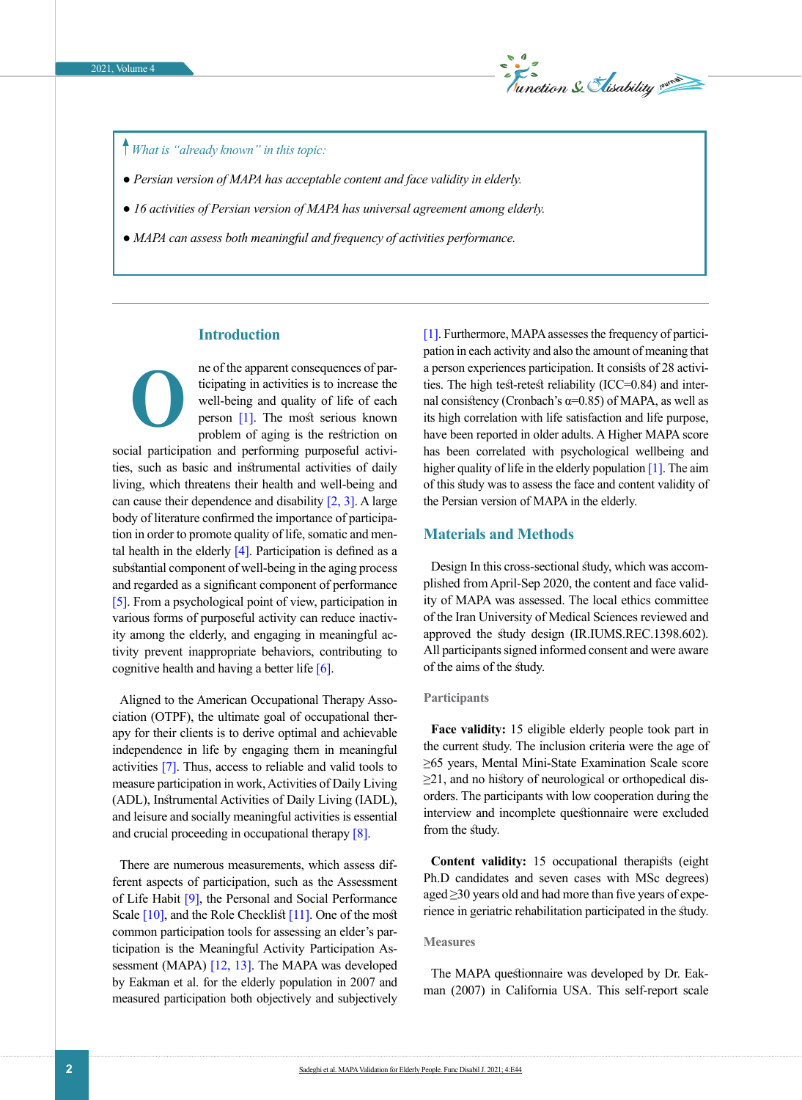

## *What is "already known" in this topic:*

- ● *Persian version of MAPA has acceptable content and face validity in elderly.*
- ● *16 activities of Persian version of MAPA has universal agreement among elderly.*
- ● *MAPA can assess both meaningful and frequency of activities performance.*

## **Introduction**

ne of the apparent consequences of participating in activities is to increase the well-being and quality of life of each person [\[1\].](#page-5-0) The most serious known problem of aging is the restriction on social participation and performing purposeful activities, such as basic and instrumental activities of daily living, which threatens their health and well-being and can cause their dependence and disability  $[2, 3]$  $[2, 3]$ . A large body of literature confirmed the importance of participation in order to promote quality of life, somatic and mental health in the elderly  $[4]$ . Participation is defined as a substantial component of well-being in the aging process and regarded as a significant component of performance [\[5\].](#page-5-4) From a psychological point of view, participation in various forms of purposeful activity can reduce inactivity among the elderly, and engaging in meaningful activity prevent inappropriate behaviors, contributing to cognitive health and having a better life [\[6\]](#page-5-5). **O**

Aligned to the American Occupational Therapy Association (OTPF), the ultimate goal of occupational therapy for their clients is to derive optimal and achievable independence in life by engaging them in meaningful activities [\[7\]](#page-5-6). Thus, access to reliable and valid tools to measure participation in work, Activities of Daily Living (ADL), Instrumental Activities of Daily Living (IADL), and leisure and socially meaningful activities is essential and crucial proceeding in occupational therapy  $[8]$ .

There are numerous measurements, which assess different aspects of participation, such as the Assessment of Life Habit <a>[9]</a>, the Personal and Social Performance Scale [\[10\],](#page-5-9) and the Role Checklist [\[11\]](#page-5-10). One of the most common participation tools for assessing an elder's participation is the Meaningful Activity Participation As-sessment (MAPA) [\[12,](#page-5-11) [13\]](#page-5-12). The MAPA was developed by Eakman et al. for the elderly population in 2007 and measured participation both objectively and subjectively [\[1\]](#page-5-0). Furthermore, MAPA assesses the frequency of participation in each activity and also the amount of meaning that a person experiences participation. It consists of 28 activities. The high test-retest reliability (ICC=0.84) and internal consistency (Cronbach's  $\alpha$ =0.85) of MAPA, as well as its high correlation with life satisfaction and life purpose, have been reported in older adults. A Higher MAPA score has been correlated with psychological wellbeing and higher quality of life in the elderly population [\[1\].](#page-5-0) The aim of this study was to assess the face and content validity of the Persian version of MAPA in the elderly.

### **Materials and Methods**

Design In this cross-sectional study, which was accomplished from April-Sep 2020, the content and face validity of MAPA was assessed. The local ethics committee of the Iran University of Medical Sciences reviewed and approved the study design (IR.IUMS.REC.1398.602). All participants signed informed consent and were aware of the aims of the study.

#### **Participants**

Face validity: 15 eligible elderly people took part in the current study. The inclusion criteria were the age of ≥65 years, Mental Mini-State Examination Scale score ≥21, and no history of neurological or orthopedical disorders. The participants with low cooperation during the interview and incomplete questionnaire were excluded from the study.

**Content validity:** 15 occupational therapists (eight Ph.D candidates and seven cases with MSc degrees) aged ≥30 years old and had more than five years of experience in geriatric rehabilitation participated in the study.

#### **Measures**

The MAPA questionnaire was developed by Dr. Eakman (2007) in California USA. This self-report scale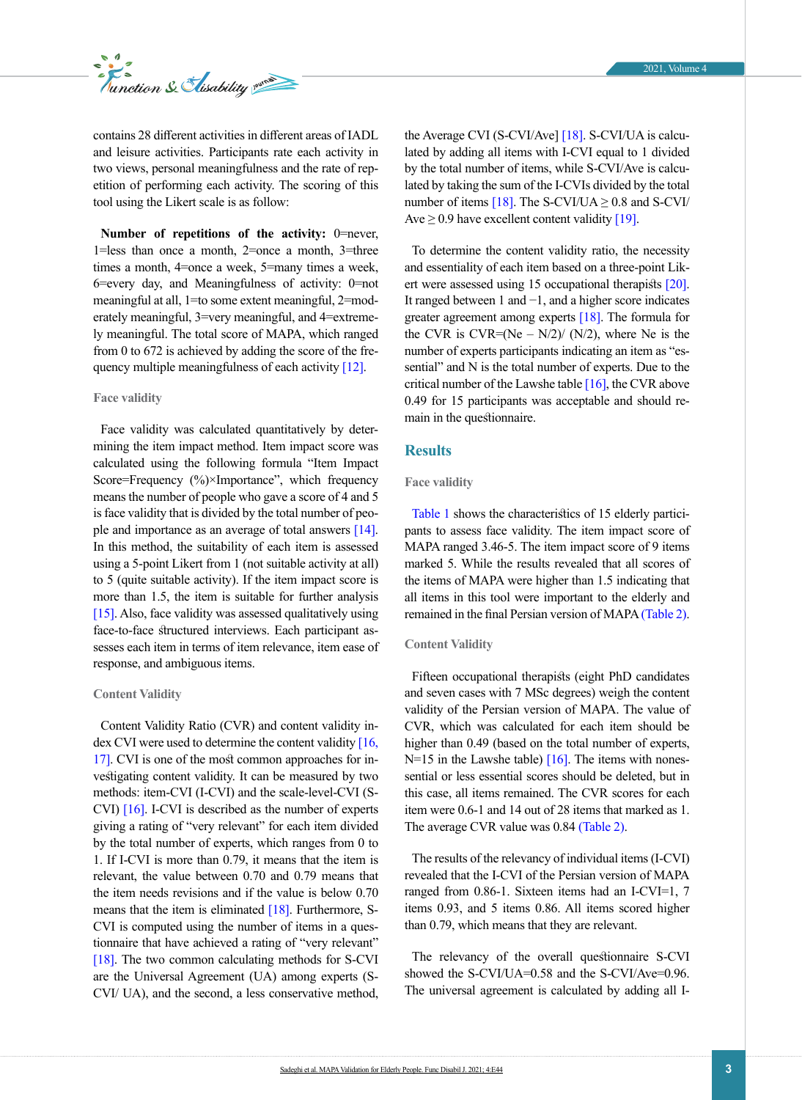contains 28 different activities in different areas of IADL and leisure activities. Participants rate each activity in two views, personal meaningfulness and the rate of repetition of performing each activity. The scoring of this tool using the Likert scale is as follow:

**Number of repetitions of the activity:** 0=never, 1=less than once a month, 2=once a month, 3=three times a month, 4=once a week, 5=many times a week, 6=every day, and Meaningfulness of activity: 0=not meaningful at all, 1=to some extent meaningful, 2=moderately meaningful, 3=very meaningful, and 4=extremely meaningful. The total score of MAPA, which ranged from 0 to 672 is achieved by adding the score of the fre-quency multiple meaningfulness of each activity [\[12\]](#page-5-11).

#### **Face validity**

Face validity was calculated quantitatively by determining the item impact method. Item impact score was calculated using the following formula "Item Impact Score=Frequency (%)×Importance", which frequency means the number of people who gave a score of 4 and 5 is face validity that is divided by the total number of people and importance as an average of total answers [\[14\]](#page-5-13). In this method, the suitability of each item is assessed using a 5-point Likert from 1 (not suitable activity at all) to 5 (quite suitable activity). If the item impact score is more than 1.5, the item is suitable for further analysis [\[15\].](#page-5-14) Also, face validity was assessed qualitatively using face-to-face structured interviews. Each participant assesses each item in terms of item relevance, item ease of response, and ambiguous items.

#### **Content Validity**

Content Validity Ratio (CVR) and content validity index CVI were used to determine the content validity  $[16, 16]$ [17\].](#page-5-16) CVI is one of the most common approaches for investigating content validity. It can be measured by two methods: item-CVI (I-CVI) and the scale-level-CVI (S-CVI) [\[16\].](#page-5-15) I-CVI is described as the number of experts giving a rating of "very relevant" for each item divided by the total number of experts, which ranges from 0 to 1. If I-CVI is more than 0.79, it means that the item is relevant, the value between 0.70 and 0.79 means that the item needs revisions and if the value is below 0.70 means that the item is eliminated  $[18]$ . Furthermore, S-CVI is computed using the number of items in a questionnaire that have achieved a rating of "very relevant" [\[18\].](#page-5-17) The two common calculating methods for S-CVI are the Universal Agreement (UA) among experts (S-CVI/ UA), and the second, a less conservative method,

the Average CVI (S-CVI/Ave] [\[18\]](#page-5-17). S-CVI/UA is calculated by adding all items with I-CVI equal to 1 divided by the total number of items, while S-CVI/Ave is calculated by taking the sum of the I-CVIs divided by the total number of items [\[18\]](#page-5-17). The S-CVI/UA  $\geq$  0.8 and S-CVI/ Ave  $\geq$  0.9 have excellent content validity [\[19\]](#page-5-18).

To determine the content validity ratio, the necessity and essentiality of each item based on a three-point Lik-ert were assessed using 15 occupational therapists [\[20\]](#page-6-0). It ranged between 1 and −1, and a higher score indicates greater agreement among experts [\[18\].](#page-5-17) The formula for the CVR is CVR=(Ne  $-$  N/2)/ (N/2), where Ne is the number of experts participants indicating an item as "essential" and N is the total number of experts. Due to the critical number of the Lawshe table  $[16]$ , the CVR above 0.49 for 15 participants was acceptable and should remain in the questionnaire.

#### **Results**

#### **Face validity**

[Table 1](#page-3-0) shows the characteristics of 15 elderly participants to assess face validity. The item impact score of MAPA ranged 3.46-5. The item impact score of 9 items marked 5. While the results revealed that all scores of the items of MAPA were higher than 1.5 indicating that all items in this tool were important to the elderly and remained in the final Persian version of MAPA [\(Table 2\)](#page-4-0).

#### **Content Validity**

Fifteen occupational therapists (eight PhD candidates and seven cases with 7 MSc degrees) weigh the content validity of the Persian version of MAPA. The value of CVR, which was calculated for each item should be higher than 0.49 (based on the total number of experts, N=15 in the Lawshe table)  $[16]$ . The items with nonessential or less essential scores should be deleted, but in this case, all items remained. The CVR scores for each item were 0.6-1 and 14 out of 28 items that marked as 1. The average CVR value was 0.84 [\(Table 2\)](#page-4-0).

The results of the relevancy of individual items (I-CVI) revealed that the I-CVI of the Persian version of MAPA ranged from 0.86-1. Sixteen items had an I-CVI=1, 7 items 0.93, and 5 items 0.86. All items scored higher than 0.79, which means that they are relevant.

The relevancy of the overall questionnaire S-CVI showed the S-CVI/UA=0.58 and the S-CVI/Ave=0.96. The universal agreement is calculated by adding all I-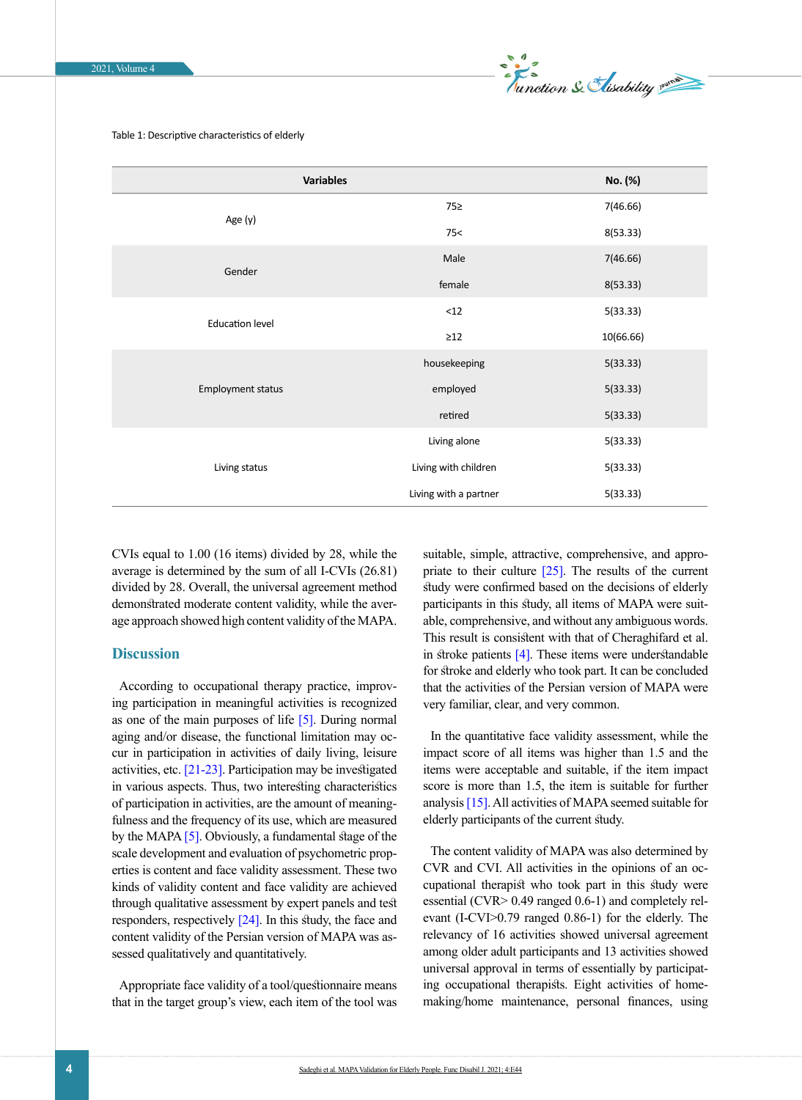

<span id="page-3-0"></span>Table 1: Descriptive characteristics of elderly

| <b>Variables</b>       | No. (%)               |           |
|------------------------|-----------------------|-----------|
|                        | 75≥                   | 7(46.66)  |
| Age (y)                | 75<                   | 8(53.33)  |
| Gender                 | Male                  | 7(46.66)  |
|                        | female                | 8(53.33)  |
| <b>Education level</b> | < 12                  | 5(33.33)  |
|                        | $\geq$ 12             | 10(66.66) |
| Employment status      | housekeeping          | 5(33.33)  |
|                        | employed              | 5(33.33)  |
|                        | retired               | 5(33.33)  |
|                        | Living alone          | 5(33.33)  |
| Living status          | Living with children  | 5(33.33)  |
|                        | Living with a partner | 5(33.33)  |

CVIs equal to 1.00 (16 items) divided by 28, while the average is determined by the sum of all I-CVIs (26.81) divided by 28. Overall, the universal agreement method demonstrated moderate content validity, while the average approach showed high content validity of the MAPA.

## **Discussion**

According to occupational therapy practice, improving participation in meaningful activities is recognized as one of the main purposes of life [\[5\]](#page-5-4). During normal aging and/or disease, the functional limitation may occur in participation in activities of daily living, leisure activities, etc. [\[21-23\].](#page-6-1) Participation may be investigated in various aspects. Thus, two interesting characteristics of participation in activities, are the amount of meaningfulness and the frequency of its use, which are measured by the MAPA [\[5\]](#page-5-4). Obviously, a fundamental stage of the scale development and evaluation of psychometric properties is content and face validity assessment. These two kinds of validity content and face validity are achieved through qualitative assessment by expert panels and test responders, respectively [\[24\]](#page-6-2). In this study, the face and content validity of the Persian version of MAPA was assessed qualitatively and quantitatively.

Appropriate face validity of a tool/questionnaire means that in the target group's view, each item of the tool was suitable, simple, attractive, comprehensive, and appropriate to their culture  $[25]$ . The results of the current study were confirmed based on the decisions of elderly participants in this study, all items of MAPA were suitable, comprehensive, and without any ambiguous words. This result is consistent with that of Cheraghifard et al. in stroke patients  $[4]$ . These items were understandable for stroke and elderly who took part. It can be concluded that the activities of the Persian version of MAPA were very familiar, clear, and very common.

In the quantitative face validity assessment, while the impact score of all items was higher than 1.5 and the items were acceptable and suitable, if the item impact score is more than 1.5, the item is suitable for further analysis [\[15\].](#page-5-14) All activities of MAPA seemed suitable for elderly participants of the current study.

The content validity of MAPA was also determined by CVR and CVI. All activities in the opinions of an occupational therapist who took part in this study were essential (CVR> 0.49 ranged 0.6-1) and completely relevant (I-CVI>0.79 ranged 0.86-1) for the elderly. The relevancy of 16 activities showed universal agreement among older adult participants and 13 activities showed universal approval in terms of essentially by participating occupational therapists. Eight activities of homemaking/home maintenance, personal finances, using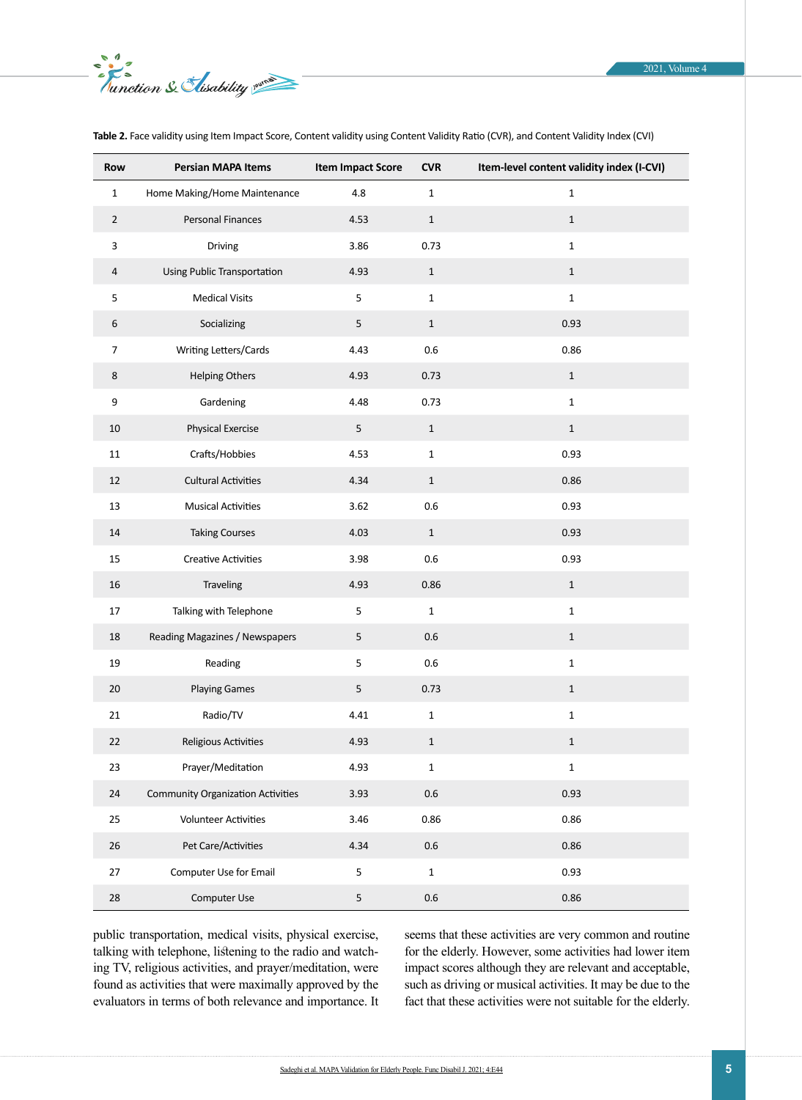| Row            | Persian MAPA Items                       | <b>Item Impact Score</b> | <b>CVR</b>   | Item-level content validity index (I-CVI) |
|----------------|------------------------------------------|--------------------------|--------------|-------------------------------------------|
| $\mathbf 1$    | Home Making/Home Maintenance             | 4.8                      | $\mathbf 1$  | $\mathbf{1}$                              |
| $\overline{2}$ | Personal Finances                        | 4.53                     | $\mathbf{1}$ | $\mathbf{1}$                              |
| 3              | Driving                                  | 3.86                     | 0.73         | $\mathbf 1$                               |
| 4              | Using Public Transportation              | 4.93                     | $\mathbf{1}$ | $\mathbf{1}$                              |
| 5              | <b>Medical Visits</b>                    | 5                        | $\mathbf{1}$ | $\mathbf 1$                               |
| 6              | Socializing                              | 5                        | $1\,$        | 0.93                                      |
| $\overline{7}$ | Writing Letters/Cards                    | 4.43                     | 0.6          | 0.86                                      |
| $\,8\,$        | <b>Helping Others</b>                    | 4.93                     | 0.73         | $\mathbf{1}$                              |
| 9              | Gardening                                | 4.48                     | 0.73         | $\mathbf 1$                               |
| 10             | Physical Exercise                        | $\mathsf S$              | $\,1\,$      | $\mathbf 1$                               |
| $11\,$         | Crafts/Hobbies                           | 4.53                     | $\mathbf 1$  | 0.93                                      |
| 12             | <b>Cultural Activities</b>               | 4.34                     | $\mathbf{1}$ | 0.86                                      |
| 13             | <b>Musical Activities</b>                | 3.62                     | $0.6\,$      | 0.93                                      |
| 14             | <b>Taking Courses</b>                    | 4.03                     | $\mathbf 1$  | 0.93                                      |
| 15             | <b>Creative Activities</b>               | 3.98                     | $0.6\,$      | 0.93                                      |
| 16             | Traveling                                | 4.93                     | 0.86         | $\mathbf{1}$                              |
| 17             | Talking with Telephone                   | $\mathsf S$              | $\mathbf{1}$ | $\mathbf 1$                               |
| 18             | Reading Magazines / Newspapers           | 5                        | $0.6\,$      | $\,1\,$                                   |
| 19             | Reading                                  | 5                        | $0.6\,$      | $\mathbf 1$                               |
| 20             | <b>Playing Games</b>                     | 5                        | 0.73         | $\mathbf{1}$                              |
| $21\,$         | Radio/TV                                 | 4.41                     | $\mathbf 1$  | $\mathbf 1$                               |
| 22             | Religious Activities                     | 4.93                     | 1            | 1                                         |
| 23             | Prayer/Meditation                        | 4.93                     | $\mathbf 1$  | $\mathbf 1$                               |
| 24             | <b>Community Organization Activities</b> | 3.93                     | $0.6\,$      | 0.93                                      |
| 25             | <b>Volunteer Activities</b>              | 3.46                     | 0.86         | 0.86                                      |
| 26             | Pet Care/Activities                      | 4.34                     | $0.6\,$      | 0.86                                      |
| 27             | Computer Use for Email                   | 5                        | $\mathbf 1$  | 0.93                                      |
| $28\,$         | Computer Use                             | 5                        | $0.6\,$      | 0.86                                      |

<span id="page-4-0"></span>**Table 2.** Face validity using Item Impact Score, Content validity using Content Validity Ratio (CVR), and Content Validity Index (CVI)

public transportation, medical visits, physical exercise, talking with telephone, listening to the radio and watching TV, religious activities, and prayer/meditation, were found as activities that were maximally approved by the evaluators in terms of both relevance and importance. It seems that these activities are very common and routine for the elderly. However, some activities had lower item impact scores although they are relevant and acceptable, such as driving or musical activities. It may be due to the fact that these activities were not suitable for the elderly.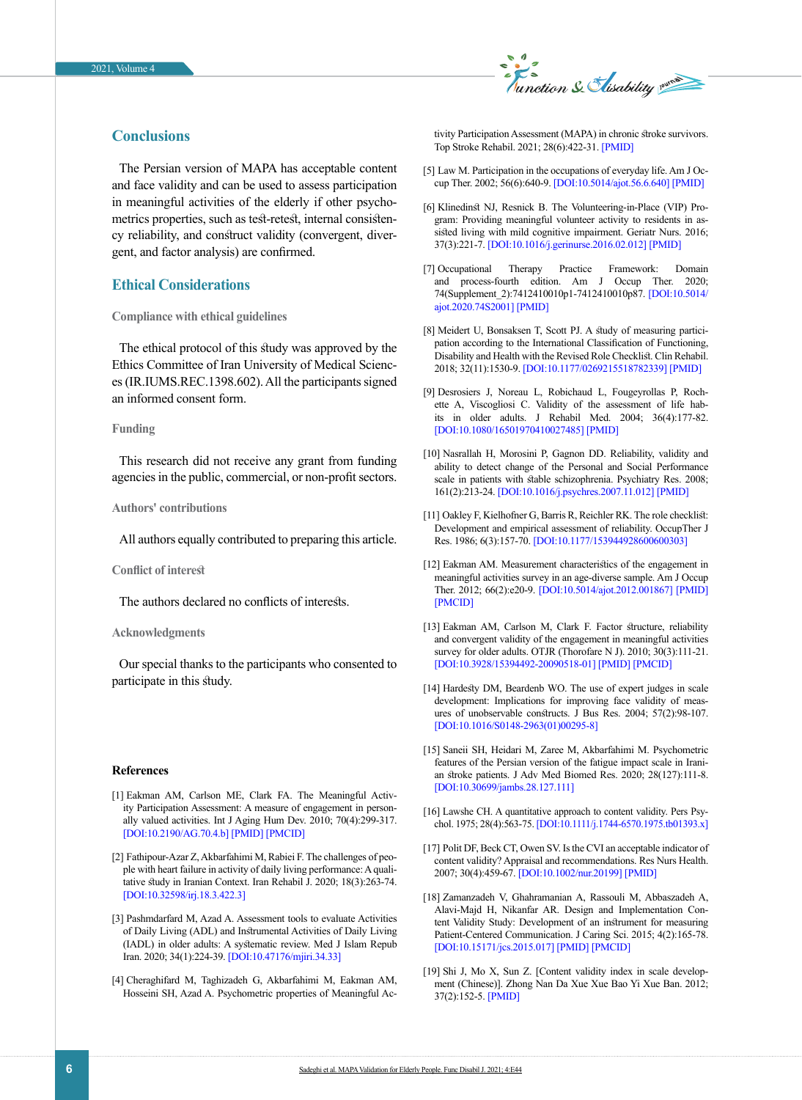

## **Conclusions**

The Persian version of MAPA has acceptable content and face validity and can be used to assess participation in meaningful activities of the elderly if other psychometrics properties, such as test-retest, internal consistency reliability, and construct validity (convergent, divergent, and factor analysis) are confirmed.

## **Ethical Considerations**

### **Compliance with ethical guidelines**

The ethical protocol of this study was approved by the Ethics Committee of Iran University of Medical Sciences (IR.IUMS.REC.1398.602). All the participants signed an informed consent form.

#### **Funding**

This research did not receive any grant from funding agencies in the public, commercial, or non-profit sectors.

#### **Authors' contributions**

All authors equally contributed to preparing this article.

#### **Conflict of interest**

The authors declared no conflicts of interests.

#### **Acknowledgments**

Our special thanks to the participants who consented to participate in this study.

#### **References**

- <span id="page-5-0"></span>[1] Eakman AM, Carlson ME, Clark FA. The Meaningful Activity Participation Assessment: A measure of engagement in personally valued activities. Int J Aging Hum Dev. 2010; 70(4):299-317. [\[DOI:10.2190/AG.70.4.b](https://doi.org/10.2190/AG.70.4.b)] [\[PMID\]](https://www.ncbi.nlm.nih.gov/pubmed/20649161) [\[PMCID](http://www.ncbi.nlm.nih.gov/pmc/articles/PMC3177298)]
- <span id="page-5-1"></span>[2] Fathipour-Azar Z, Akbarfahimi M, Rabiei F. The challenges of people with heart failure in activity of daily living performance: A qualitative study in Iranian Context. Iran Rehabil J. 2020; 18(3):263-74. [\[DOI:10.32598/irj.18.3.422.3](https://doi.org/10.32598/irj.18.3.422.3)]
- <span id="page-5-2"></span>[3] Pashmdarfard M, Azad A. Assessment tools to evaluate Activities of Daily Living (ADL) and Instrumental Activities of Daily Living (IADL) in older adults: A systematic review. Med J Islam Repub Iran. 2020; 34(1):224-39. [\[DOI:10.47176/mjiri.34.33\]](https://doi.org/10.47176/mjiri.34.33)
- <span id="page-5-3"></span>[4] Cheraghifard M, Taghizadeh G, Akbarfahimi M, Eakman AM, Hosseini SH, Azad A. Psychometric properties of Meaningful Ac-

tivity Participation Assessment (MAPA) in chronic stroke survivors. Top Stroke Rehabil. 2021; 28(6):422-31. [\[PMID](https://www.ncbi.nlm.nih.gov/pubmed/33078689)]

- <span id="page-5-4"></span>[5] Law M. Participation in the occupations of everyday life. Am J Occup Ther. 2002; 56(6):640-9. [\[DOI:10.5014/ajot.56.6.640\]](https://doi.org/10.5014/ajot.56.6.640) [\[PMID](https://www.ncbi.nlm.nih.gov/pubmed/12458856)]
- <span id="page-5-5"></span>[6] Klinedinst NJ, Resnick B. The Volunteering-in-Place (VIP) Program: Providing meaningful volunteer activity to residents in assisted living with mild cognitive impairment. Geriatr Nurs. 2016; 37(3):221-7. [\[DOI:10.1016/j.gerinurse.2016.02.012](https://doi.org/10.1016/j.gerinurse.2016.02.012)] [\[PMID\]](https://www.ncbi.nlm.nih.gov/pubmed/26975836)
- <span id="page-5-6"></span>[7] Occupational Therapy Practice Framework: Domain and process-fourth edition. Am J Occup Ther. 2020; 74(Supplement\_2):7412410010p1-7412410010p87. [\[DOI:10.5014/](https://doi.org/10.5014/ajot.2020.74S2001) [ajot.2020.74S2001](https://doi.org/10.5014/ajot.2020.74S2001)] [\[PMID\]](https://www.ncbi.nlm.nih.gov/pubmed/34780625)
- <span id="page-5-7"></span>[8] Meidert U, Bonsaksen T, Scott PJ. A study of measuring participation according to the International Classification of Functioning, Disability and Health with the Revised Role Checklist. Clin Rehabil. 2018; 32(11):1530-9. [\[DOI:10.1177/0269215518782339\]](https://doi.org/10.1177/0269215518782339) [\[PMID](https://www.ncbi.nlm.nih.gov/pubmed/29938529)]
- <span id="page-5-8"></span>[9] Desrosiers J, Noreau L, Robichaud L, Fougeyrollas P, Rochette A, Viscogliosi C. Validity of the assessment of life habits in older adults. J Rehabil Med. 2004; 36(4):177-82. [\[DOI:10.1080/16501970410027485\]](https://doi.org/10.1080/16501970410027485) [\[PMID\]](https://www.ncbi.nlm.nih.gov/pubmed/15370734)
- <span id="page-5-9"></span>[10] Nasrallah H, Morosini P, Gagnon DD. Reliability, validity and ability to detect change of the Personal and Social Performance scale in patients with stable schizophrenia. Psychiatry Res. 2008; 161(2):213-24. [\[DOI:10.1016/j.psychres.2007.11.012\]](https://doi.org/10.1016/j.psychres.2007.11.012) [\[PMID](https://www.ncbi.nlm.nih.gov/pubmed/18848731)]
- <span id="page-5-10"></span>[11] Oakley F, Kielhofner G, Barris R, Reichler RK. The role checklist: Development and empirical assessment of reliability. OccupTher J Res. 1986; 6(3):157-70. [\[DOI:10.1177/153944928600600303](https://doi.org/10.1177/153944928600600303)]
- <span id="page-5-11"></span>[12] Eakman AM. Measurement characteristics of the engagement in meaningful activities survey in an age-diverse sample. Am J Occup Ther. 2012; 66(2):e20-9. [\[DOI:10.5014/ajot.2012.001867\]](https://doi.org/10.5014/ajot.2012.001867) [\[PMID](https://www.ncbi.nlm.nih.gov/pubmed/22394537)] [\[PMCID](http://www.ncbi.nlm.nih.gov/pmc/articles/PMC3298038)]
- <span id="page-5-12"></span>[13] Eakman AM, Carlson M, Clark F. Factor structure, reliability and convergent validity of the engagement in meaningful activities survey for older adults. OTJR (Thorofare N J). 2010; 30(3):111-21. [\[DOI:10.3928/15394492-20090518-01](https://doi.org/10.3928/15394492-20090518-01)] [\[PMID\]](https://www.ncbi.nlm.nih.gov/pubmed/21927592) [\[PMCID](http://www.ncbi.nlm.nih.gov/pmc/articles/PMC3172818)]
- <span id="page-5-13"></span>[14] Hardesty DM, Beardenb WO. The use of expert judges in scale development: Implications for improving face validity of measures of unobservable constructs. J Bus Res. 2004; 57(2):98-107. [\[DOI:10.1016/S0148-2963\(01\)00295-8](https://doi.org/10.1016/S0148-2963(01)00295-8)]
- <span id="page-5-14"></span>[15] Saneii SH, Heidari M, Zaree M, Akbarfahimi M. Psychometric features of the Persian version of the fatigue impact scale in Iranian stroke patients. J Adv Med Biomed Res. 2020; 28(127):111-8. [\[DOI:10.30699/jambs.28.127.111](https://doi.org/10.30699/jambs.28.127.111)]
- <span id="page-5-15"></span>[16] Lawshe CH. A quantitative approach to content validity. Pers Psychol. 1975; 28(4):563-75. [\[DOI:10.1111/j.1744-6570.1975.tb01393.x](https://doi.org/10.1111/j.1744-6570.1975.tb01393.x)]
- <span id="page-5-16"></span>[17] Polit DF, Beck CT, Owen SV. Is the CVI an acceptable indicator of content validity? Appraisal and recommendations. Res Nurs Health. 2007; 30(4):459-67. [\[DOI:10.1002/nur.20199\]](https://doi.org/10.1002/nur.20199) [\[PMID\]](https://www.ncbi.nlm.nih.gov/pubmed/17654487)
- <span id="page-5-17"></span>[18] Zamanzadeh V, Ghahramanian A, Rassouli M, Abbaszadeh A, Alavi-Majd H, Nikanfar AR. Design and Implementation Content Validity Study: Development of an instrument for measuring Patient-Centered Communication. J Caring Sci. 2015; 4(2):165-78. [\[DOI:10.15171/jcs.2015.017\]](https://doi.org/10.15171/jcs.2015.017) [\[PMID](https://www.ncbi.nlm.nih.gov/pubmed/26161370)] [\[PMCID\]](http://www.ncbi.nlm.nih.gov/pmc/articles/PMC4484991)
- <span id="page-5-18"></span>[19] Shi J, Mo X, Sun Z. [Content validity index in scale development (Chinese)]. Zhong Nan Da Xue Xue Bao Yi Xue Ban. 2012; 37(2):152-5. [\[PMID\]](https://pubmed.ncbi.nlm.nih.gov/22561427/)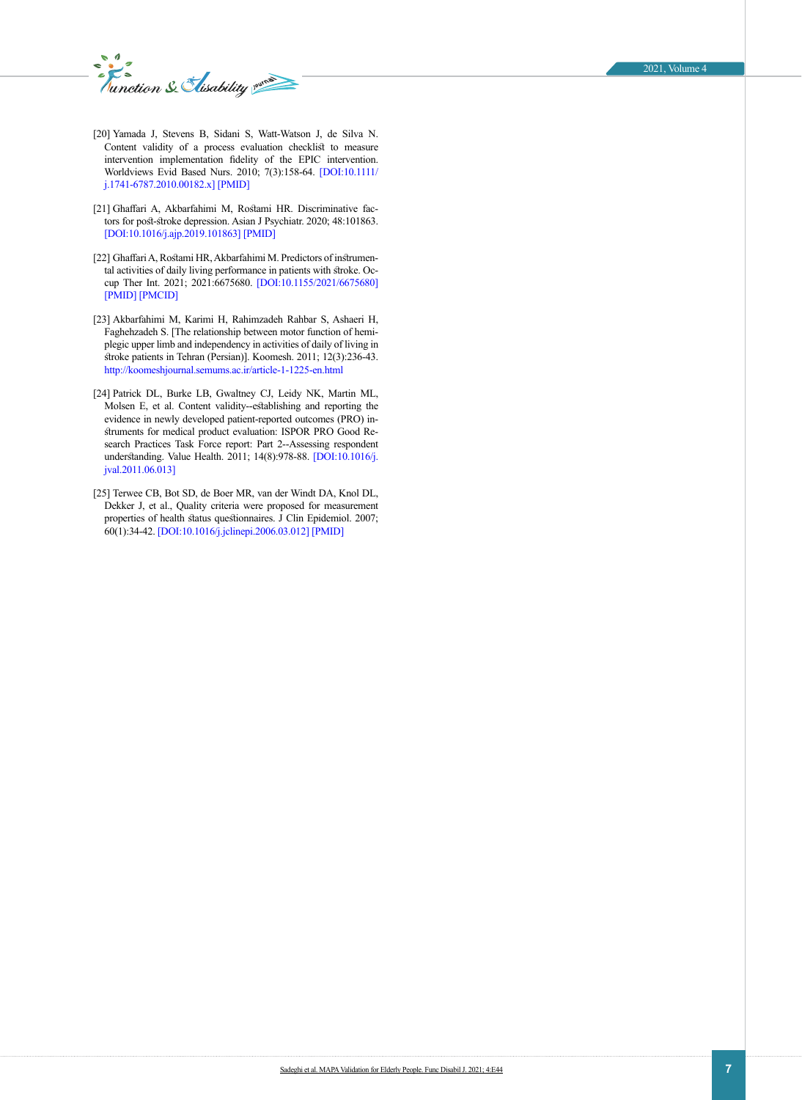*Munction & Elisability* 

- <span id="page-6-0"></span>[20] Yamada J, Stevens B, Sidani S, Watt-Watson J, de Silva N. Content validity of a process evaluation checklist to measure intervention implementation fidelity of the EPIC intervention. Worldviews Evid Based Nurs. 2010; 7(3):158-64. [\[DOI:10.1111/](https://doi.org/10.1111/j.1741-6787.2010.00182.x) [j.1741-6787.2010.00182.x\]](https://doi.org/10.1111/j.1741-6787.2010.00182.x) [\[PMID](https://www.ncbi.nlm.nih.gov/pubmed/20180940)]
- <span id="page-6-1"></span>[21] Ghaffari A, Akbarfahimi M, Rostami HR. Discriminative factors for post-stroke depression. Asian J Psychiatr. 2020; 48:101863. [\[DOI:10.1016/j.ajp.2019.101863\]](https://doi.org/10.1016/j.ajp.2019.101863) [\[PMID\]](https://www.ncbi.nlm.nih.gov/pubmed/31901586)
- [22] Ghaffari A, Rostami HR, Akbarfahimi M. Predictors of instrumental activities of daily living performance in patients with stroke. Occup Ther Int. 2021; 2021:6675680. [\[DOI:10.1155/2021/6675680](https://doi.org/10.1155/2021/6675680)] [\[PMID](https://www.ncbi.nlm.nih.gov/pubmed/33727902)] [\[PMCID\]](http://www.ncbi.nlm.nih.gov/pmc/articles/PMC7936883)
- [23] Akbarfahimi M, Karimi H, Rahimzadeh Rahbar S, Ashaeri H, Faghehzadeh S. [The relationship between motor function of hemiplegic upper limb and independency in activities of daily of living in stroke patients in Tehran (Persian)]. Koomesh. 2011; 12(3):236-43. <http://koomeshjournal.semums.ac.ir/article-1-1225-en.html>
- <span id="page-6-2"></span>[24] Patrick DL, Burke LB, Gwaltney CJ, Leidy NK, Martin ML, Molsen E, et al. Content validity--establishing and reporting the evidence in newly developed patient-reported outcomes (PRO) instruments for medical product evaluation: ISPOR PRO Good Research Practices Task Force report: Part 2--Assessing respondent understanding. Value Health. 2011; 14(8):978-88. [\[DOI:10.1016/j.](https://doi.org/10.1016/j.jval.2011.06.013) [jval.2011.06.013\]](https://doi.org/10.1016/j.jval.2011.06.013)
- <span id="page-6-3"></span>[25] Terwee CB, Bot SD, de Boer MR, van der Windt DA, Knol DL, Dekker J, et al., Quality criteria were proposed for measurement properties of health status questionnaires. J Clin Epidemiol. 2007; 60(1):34-42. [\[DOI:10.1016/j.jclinepi.2006.03.012\]](https://doi.org/10.1016/j.jclinepi.2006.03.012) [\[PMID\]](https://www.ncbi.nlm.nih.gov/pubmed/17161752)